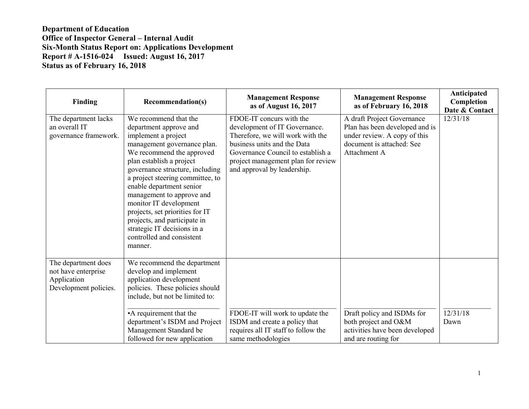| Finding                                                                            | <b>Recommendation(s)</b>                                                                                                                                                                                                                                                                                                                                                                                                                                           | <b>Management Response</b><br>as of August 16, 2017                                                                                                                                                                                    | <b>Management Response</b><br>as of February 16, 2018                                                                                     | Anticipated<br>Completion<br>Date & Contact |
|------------------------------------------------------------------------------------|--------------------------------------------------------------------------------------------------------------------------------------------------------------------------------------------------------------------------------------------------------------------------------------------------------------------------------------------------------------------------------------------------------------------------------------------------------------------|----------------------------------------------------------------------------------------------------------------------------------------------------------------------------------------------------------------------------------------|-------------------------------------------------------------------------------------------------------------------------------------------|---------------------------------------------|
| The department lacks<br>an overall IT<br>governance framework.                     | We recommend that the<br>department approve and<br>implement a project<br>management governance plan.<br>We recommend the approved<br>plan establish a project<br>governance structure, including<br>a project steering committee, to<br>enable department senior<br>management to approve and<br>monitor IT development<br>projects, set priorities for IT<br>projects, and participate in<br>strategic IT decisions in a<br>controlled and consistent<br>manner. | FDOE-IT concurs with the<br>development of IT Governance.<br>Therefore, we will work with the<br>business units and the Data<br>Governance Council to establish a<br>project management plan for review<br>and approval by leadership. | A draft Project Governance<br>Plan has been developed and is<br>under review. A copy of this<br>document is attached: See<br>Attachment A | 12/31/18                                    |
| The department does<br>not have enterprise<br>Application<br>Development policies. | We recommend the department<br>develop and implement<br>application development<br>policies. These policies should<br>include, but not be limited to:<br>• A requirement that the<br>department's ISDM and Project                                                                                                                                                                                                                                                 | FDOE-IT will work to update the<br>ISDM and create a policy that                                                                                                                                                                       | Draft policy and ISDMs for<br>both project and O&M                                                                                        | 12/31/18<br>Dawn                            |
|                                                                                    | Management Standard be<br>followed for new application                                                                                                                                                                                                                                                                                                                                                                                                             | requires all IT staff to follow the<br>same methodologies                                                                                                                                                                              | activities have been developed<br>and are routing for                                                                                     |                                             |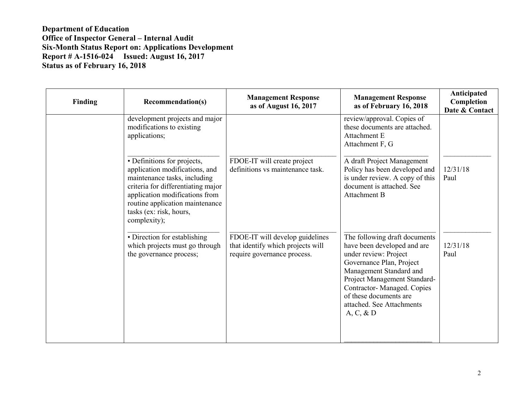| Finding | <b>Recommendation(s)</b>                                                                                                                                                                                                                            | <b>Management Response</b><br>as of August 16, 2017                                                 | <b>Management Response</b><br>as of February 16, 2018                                                                                                                                                                                                                             | Anticipated<br>Completion<br>Date & Contact |
|---------|-----------------------------------------------------------------------------------------------------------------------------------------------------------------------------------------------------------------------------------------------------|-----------------------------------------------------------------------------------------------------|-----------------------------------------------------------------------------------------------------------------------------------------------------------------------------------------------------------------------------------------------------------------------------------|---------------------------------------------|
|         | development projects and major<br>modifications to existing<br>applications;                                                                                                                                                                        |                                                                                                     | review/approval. Copies of<br>these documents are attached.<br>Attachment E<br>Attachment F, G                                                                                                                                                                                    |                                             |
|         | • Definitions for projects,<br>application modifications, and<br>maintenance tasks, including<br>criteria for differentiating major<br>application modifications from<br>routine application maintenance<br>tasks (ex: risk, hours,<br>complexity); | FDOE-IT will create project<br>definitions vs maintenance task.                                     | A draft Project Management<br>Policy has been developed and<br>is under review. A copy of this<br>document is attached. See<br><b>Attachment B</b>                                                                                                                                | 12/31/18<br>Paul                            |
|         | • Direction for establishing<br>which projects must go through<br>the governance process;                                                                                                                                                           | FDOE-IT will develop guidelines<br>that identify which projects will<br>require governance process. | The following draft documents<br>have been developed and are<br>under review: Project<br>Governance Plan, Project<br>Management Standard and<br>Project Management Standard-<br>Contractor-Managed. Copies<br>of these documents are<br>attached. See Attachments<br>$A, C, \& D$ | 12/31/18<br>Paul                            |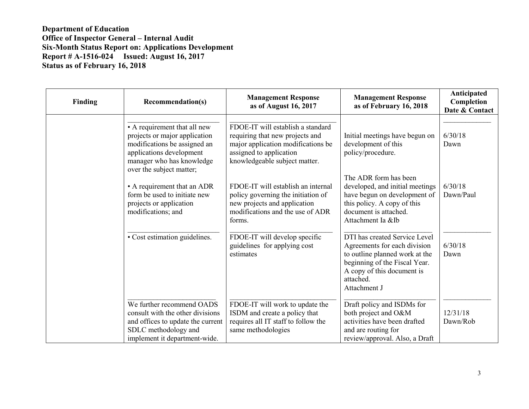| Finding | <b>Recommendation(s)</b>                                                                                                                                                           | <b>Management Response</b><br>as of August 16, 2017                                                                                                                    | <b>Management Response</b><br>as of February 16, 2018                                                                                                                                       | Anticipated<br>Completion<br>Date & Contact |
|---------|------------------------------------------------------------------------------------------------------------------------------------------------------------------------------------|------------------------------------------------------------------------------------------------------------------------------------------------------------------------|---------------------------------------------------------------------------------------------------------------------------------------------------------------------------------------------|---------------------------------------------|
|         | • A requirement that all new<br>projects or major application<br>modifications be assigned an<br>applications development<br>manager who has knowledge<br>over the subject matter; | FDOE-IT will establish a standard<br>requiring that new projects and<br>major application modifications be<br>assigned to application<br>knowledgeable subject matter. | Initial meetings have begun on<br>development of this<br>policy/procedure.                                                                                                                  | 6/30/18<br>Dawn                             |
|         | • A requirement that an ADR<br>form be used to initiate new<br>projects or application<br>modifications; and                                                                       | FDOE-IT will establish an internal<br>policy governing the initiation of<br>new projects and application<br>modifications and the use of ADR<br>forms.                 | The ADR form has been<br>developed, and initial meetings<br>have begun on development of<br>this policy. A copy of this<br>document is attached.<br>Attachment Ia &Ib                       | 6/30/18<br>Dawn/Paul                        |
|         | • Cost estimation guidelines.                                                                                                                                                      | FDOE-IT will develop specific<br>guidelines for applying cost<br>estimates                                                                                             | DTI has created Service Level<br>Agreements for each division<br>to outline planned work at the<br>beginning of the Fiscal Year.<br>A copy of this document is<br>attached.<br>Attachment J | 6/30/18<br>Dawn                             |
|         | We further recommend OADS<br>consult with the other divisions<br>and offices to update the current<br>SDLC methodology and<br>implement it department-wide.                        | FDOE-IT will work to update the<br>ISDM and create a policy that<br>requires all IT staff to follow the<br>same methodologies                                          | Draft policy and ISDMs for<br>both project and O&M<br>activities have been drafted<br>and are routing for<br>review/approval. Also, a Draft                                                 | 12/31/18<br>Dawn/Rob                        |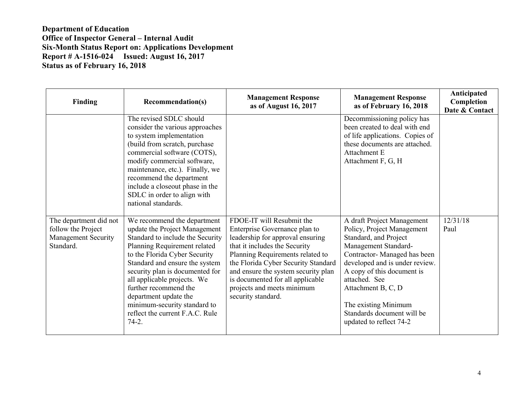| Finding                                                                          | <b>Recommendation(s)</b>                                                                                                                                                                                                                                                                                                                                                                              | <b>Management Response</b><br>as of August 16, 2017                                                                                                                                                                                                                                                                                       | <b>Management Response</b><br>as of February 16, 2018                                                                                                                                                                                                                                                                            | Anticipated<br>Completion<br>Date & Contact |
|----------------------------------------------------------------------------------|-------------------------------------------------------------------------------------------------------------------------------------------------------------------------------------------------------------------------------------------------------------------------------------------------------------------------------------------------------------------------------------------------------|-------------------------------------------------------------------------------------------------------------------------------------------------------------------------------------------------------------------------------------------------------------------------------------------------------------------------------------------|----------------------------------------------------------------------------------------------------------------------------------------------------------------------------------------------------------------------------------------------------------------------------------------------------------------------------------|---------------------------------------------|
|                                                                                  | The revised SDLC should<br>consider the various approaches<br>to system implementation<br>(build from scratch, purchase<br>commercial software (COTS),<br>modify commercial software,<br>maintenance, etc.). Finally, we<br>recommend the department<br>include a closeout phase in the<br>SDLC in order to align with<br>national standards.                                                         |                                                                                                                                                                                                                                                                                                                                           | Decommissioning policy has<br>been created to deal with end<br>of life applications. Copies of<br>these documents are attached.<br>Attachment E<br>Attachment F, G, H                                                                                                                                                            |                                             |
| The department did not<br>follow the Project<br>Management Security<br>Standard. | We recommend the department<br>update the Project Management<br>Standard to include the Security<br>Planning Requirement related<br>to the Florida Cyber Security<br>Standard and ensure the system<br>security plan is documented for<br>all applicable projects. We<br>further recommend the<br>department update the<br>minimum-security standard to<br>reflect the current F.A.C. Rule<br>$74-2.$ | FDOE-IT will Resubmit the<br>Enterprise Governance plan to<br>leadership for approval ensuring<br>that it includes the Security<br>Planning Requirements related to<br>the Florida Cyber Security Standard<br>and ensure the system security plan<br>is documented for all applicable<br>projects and meets minimum<br>security standard. | A draft Project Management<br>Policy, Project Management<br>Standard, and Project<br>Management Standard-<br>Contractor-Managed has been<br>developed and is under review.<br>A copy of this document is<br>attached. See<br>Attachment B, C, D<br>The existing Minimum<br>Standards document will be<br>updated to reflect 74-2 | 12/31/18<br>Paul                            |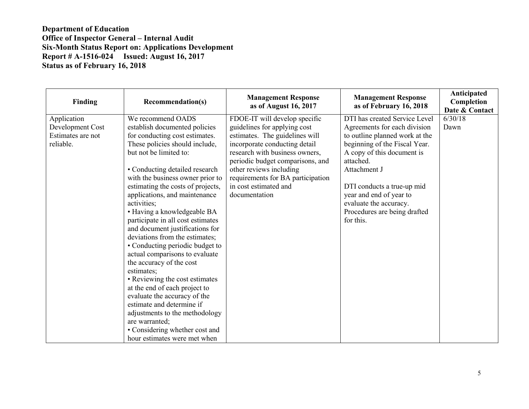| Finding           | <b>Recommendation(s)</b>          | <b>Management Response</b><br>as of August 16, 2017 | <b>Management Response</b><br>as of February 16, 2018 | Anticipated<br>Completion<br>Date & Contact |
|-------------------|-----------------------------------|-----------------------------------------------------|-------------------------------------------------------|---------------------------------------------|
| Application       | We recommend OADS                 | FDOE-IT will develop specific                       | DTI has created Service Level                         | 6/30/18                                     |
| Development Cost  | establish documented policies     | guidelines for applying cost                        | Agreements for each division                          | Dawn                                        |
| Estimates are not | for conducting cost estimates.    | estimates. The guidelines will                      | to outline planned work at the                        |                                             |
| reliable.         | These policies should include,    | incorporate conducting detail                       | beginning of the Fiscal Year.                         |                                             |
|                   | but not be limited to:            | research with business owners,                      | A copy of this document is                            |                                             |
|                   |                                   | periodic budget comparisons, and                    | attached.                                             |                                             |
|                   | • Conducting detailed research    | other reviews including                             | Attachment J                                          |                                             |
|                   | with the business owner prior to  | requirements for BA participation                   |                                                       |                                             |
|                   | estimating the costs of projects, | in cost estimated and                               | DTI conducts a true-up mid                            |                                             |
|                   | applications, and maintenance     | documentation                                       | year and end of year to                               |                                             |
|                   | activities;                       |                                                     | evaluate the accuracy.                                |                                             |
|                   | • Having a knowledgeable BA       |                                                     | Procedures are being drafted                          |                                             |
|                   | participate in all cost estimates |                                                     | for this.                                             |                                             |
|                   | and document justifications for   |                                                     |                                                       |                                             |
|                   | deviations from the estimates;    |                                                     |                                                       |                                             |
|                   | • Conducting periodic budget to   |                                                     |                                                       |                                             |
|                   | actual comparisons to evaluate    |                                                     |                                                       |                                             |
|                   | the accuracy of the cost          |                                                     |                                                       |                                             |
|                   | estimates;                        |                                                     |                                                       |                                             |
|                   | • Reviewing the cost estimates    |                                                     |                                                       |                                             |
|                   | at the end of each project to     |                                                     |                                                       |                                             |
|                   | evaluate the accuracy of the      |                                                     |                                                       |                                             |
|                   | estimate and determine if         |                                                     |                                                       |                                             |
|                   | adjustments to the methodology    |                                                     |                                                       |                                             |
|                   | are warranted;                    |                                                     |                                                       |                                             |
|                   | • Considering whether cost and    |                                                     |                                                       |                                             |
|                   | hour estimates were met when      |                                                     |                                                       |                                             |